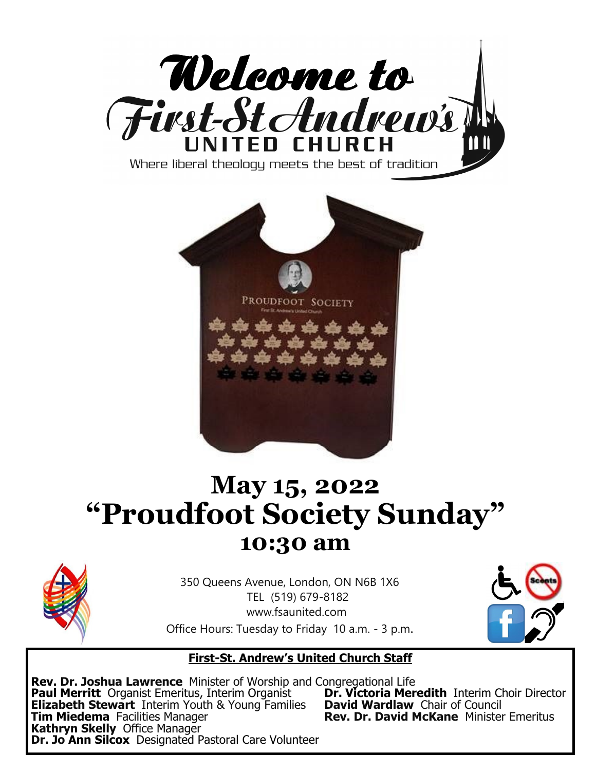



# **May 15, 2022 "Proudfoot Society Sunday" 10:30 am**



350 Queens Avenue, London, ON N6B 1X6 TEL (519) 679-8182 www.fsaunited.com Office Hours: Tuesday to Friday 10 a.m. - 3 p.m.



#### **First-St. Andrew's United Church Staff**

**Rev. Dr. Joshua Lawrence** Minister of Worship and Congregational Life **Paul Merritt** Organist Emeritus, Interim Organist **Dr. Victoria Meredith** Interim Choir of Council **Elizabeth Stewart** Interim Youth & Young Families **David Wardlaw** Chair of Council **Elizabeth Stewart** Interim Youth & Young Families<br>**Tim Miedema** Facilities Manager **Kathryn Skelly** Office Manager **Dr. Jo Ann Silcox** Designated Pastoral Care Volunteer

**Rev. Dr. David McKane** Minister Emeritus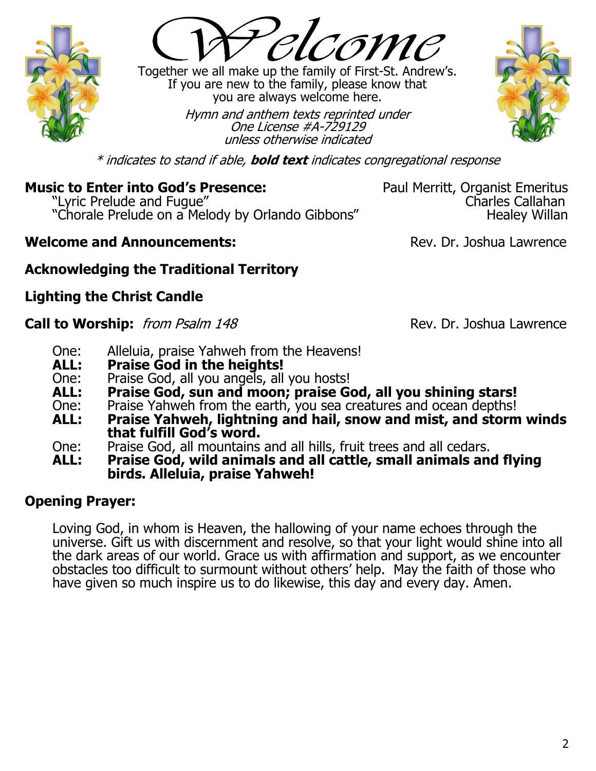

Together we all make up the family of First-St. Andrew's. If you are new to the family, please know that you are always welcome here.

> Hymn and anthem texts reprinted under One License #A-729129 unless otherwise indicated



\* indicates to stand if able, **bold text** indicates congregational response

## **Music to Enter into God's Presence:** Paul Merritt, Organist Emeritus

Lyric Prelude and Fugue"<br>Charles Callahan (Charles Callahan ) "Chorale Prelude on a Melody by Orlando Gibbons" "Chorale Prelude on a Melody by Orlando Gibbons"

#### **Welcome and Announcements:**  $\qquad \qquad \text{Rev. Dr. Joshua Lawrence}$

## **Acknowledging the Traditional Territory**

## **Lighting the Christ Candle**

#### **Call to Worship:** from Psalm 148 Rev. Dr. Joshua Lawrence

- One: Alleluia, praise Yahweh from the Heavens!<br>**ALL:** Praise God in the heights!
- **ALL: Praise God in the heights!**
- One: Praise God, all you angels, all you hosts!<br>**ALL: Praise God, sun and moon: praise G**o
- **ALL: Praise God, sun and moon; praise God, all you shining stars!**
- One: Praise Yahweh from the earth, you sea creatures and ocean depths!<br>ALL: Praise Yahweh, lightning and hail, snow and mist, and storm
- Praise Yahweh, lightning and hail, snow and mist, and storm winds **that fulfill God's word.**
- One: Praise God, all mountains and all hills, fruit trees and all cedars.
- **ALL: Praise God, wild animals and all cattle, small animals and flying birds. Alleluia, praise Yahweh!**

## **Opening Prayer:**

Loving God, in whom is Heaven, the hallowing of your name echoes through the universe. Gift us with discernment and resolve, so that your light would shine into all the dark areas of our world. Grace us with affirmation and support, as we encounter obstacles too difficult to surmount without others' help. May the faith of those who have given so much inspire us to do likewise, this day and every day. Amen.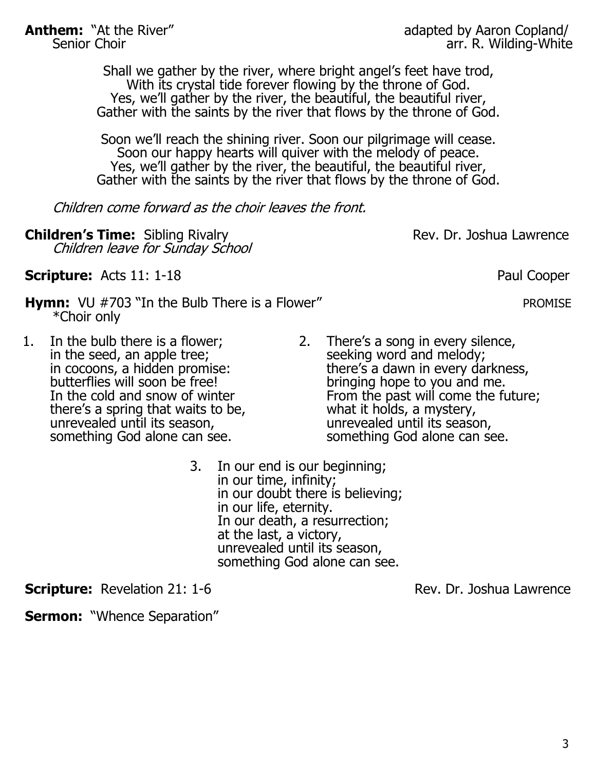**Anthem:** "At the River" adapted by Aaron Copland/<br>Senior Choir and Senior Choir arr. R. Wilding-White arr. R. Wilding-White

> Shall we gather by the river, where bright angel's feet have trod, With its crystal tide forever flowing by the throne of God. Yes, we'll gather by the river, the beautiful, the beautiful river, Gather with the saints by the river that flows by the throne of God.

> Soon we'll reach the shining river. Soon our pilgrimage will cease. Soon our happy hearts will quiver with the melody of peace. Yes, we'll gather by the river, the beautiful, the beautiful river, Gather with the saints by the river that flows by the throne of God.

Children come forward as the choir leaves the front.

**Children's Time:** Sibling Rivalry **Rev. Dr. Joshua Lawrence** Children leave for Sunday School

**Scripture:** Acts 11: 1-18 Paul Cooper

- **Hymn:**  $VU$  #703 "In the Bulb There is a Flower" PROMISE \*Choir only
- 1. In the bulb there is a flower; in the seed, an apple tree; in cocoons, a hidden promise: butterflies will soon be free! In the cold and snow of winter there's a spring that waits to be, unrevealed until its season, something God alone can see.
- 2. There's a song in every silence, seeking word and melody; there's a dawn in every darkness, bringing hope to you and me. From the past will come the future; what it holds, a mystery, unrevealed until its season, something God alone can see.
- 3. In our end is our beginning; in our time, infinity; in our doubt there is believing; in our life, eternity. In our death, a resurrection; at the last, a victory, unrevealed until its season, something God alone can see.

**Scripture:** Revelation 21: 1-6 **Rev. Dr. Joshua Lawrence** 

**Sermon: "Whence Separation"**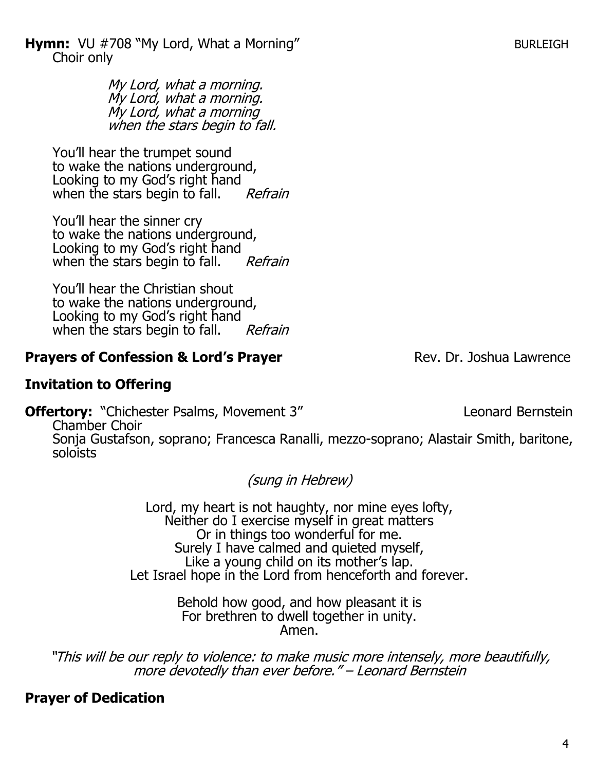**Hymn:**  $VU$  #708 "My Lord, What a Morning" BURLEIGH Choir only

> My Lord, what a morning. My Lord, what a morning. My Lord, what a morning when the stars begin to fall.

You'll hear the trumpet sound to wake the nations underground, Looking to my God's right hand when the stars begin to fall. Refrain

You'll hear the sinner cry to wake the nations underground, Looking to my God's right hand when the stars begin to fall. Refrain

You'll hear the Christian shout to wake the nations underground, Looking to my God's right hand when the stars begin to fall. Refrain

## **Prayers of Confession & Lord's Prayer** Rev. Dr. Joshua Lawrence

## **Invitation to Offering**

**Offertory:** "Chichester Psalms, Movement 3" Leonard Bernstein

Chamber Choir Sonja Gustafson, soprano; Francesca Ranalli, mezzo-soprano; Alastair Smith, baritone, soloists

(sung in Hebrew)

Lord, my heart is not haughty, nor mine eyes lofty, Neither do I exercise myself in great matters Or in things too wonderful for me. Surely I have calmed and quieted myself, Like a young child on its mother's lap. Let Israel hope in the Lord from henceforth and forever.

> Behold how good, and how pleasant it is For brethren to dwell together in unity. Amen.

"This will be our reply to violence: to make music more intensely, more beautifully, more devotedly than ever before." - Leonard Bernstein

## **Prayer of Dedication**